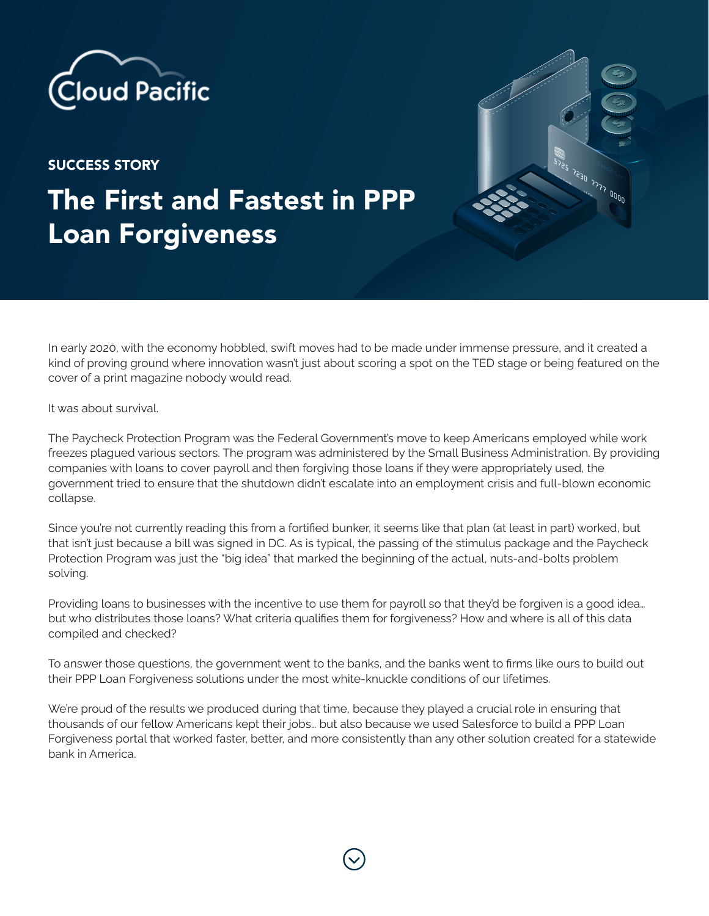

## SUCCESS STORY

## The First and Fastest in PPP Loan Forgiveness



In early 2020, with the economy hobbled, swift moves had to be made under immense pressure, and it created a kind of proving ground where innovation wasn't just about scoring a spot on the TED stage or being featured on the cover of a print magazine nobody would read.

It was about survival.

The Paycheck Protection Program was the Federal Government's move to keep Americans employed while work freezes plagued various sectors. The program was administered by the Small Business Administration. By providing companies with loans to cover payroll and then forgiving those loans if they were appropriately used, the government tried to ensure that the shutdown didn't escalate into an employment crisis and full-blown economic collapse.

Since you're not currently reading this from a fortified bunker, it seems like that plan (at least in part) worked, but that isn't just because a bill was signed in DC. As is typical, the passing of the stimulus package and the Paycheck Protection Program was just the "big idea" that marked the beginning of the actual, nuts-and-bolts problem solving.

Providing loans to businesses with the incentive to use them for payroll so that they'd be forgiven is a good idea… but who distributes those loans? What criteria qualifies them for forgiveness? How and where is all of this data compiled and checked?

To answer those questions, the government went to the banks, and the banks went to firms like ours to build out their PPP Loan Forgiveness solutions under the most white-knuckle conditions of our lifetimes.

We're proud of the results we produced during that time, because they played a crucial role in ensuring that thousands of our fellow Americans kept their jobs… but also because we used Salesforce to build a PPP Loan Forgiveness portal that worked faster, better, and more consistently than any other solution created for a statewide bank in America.